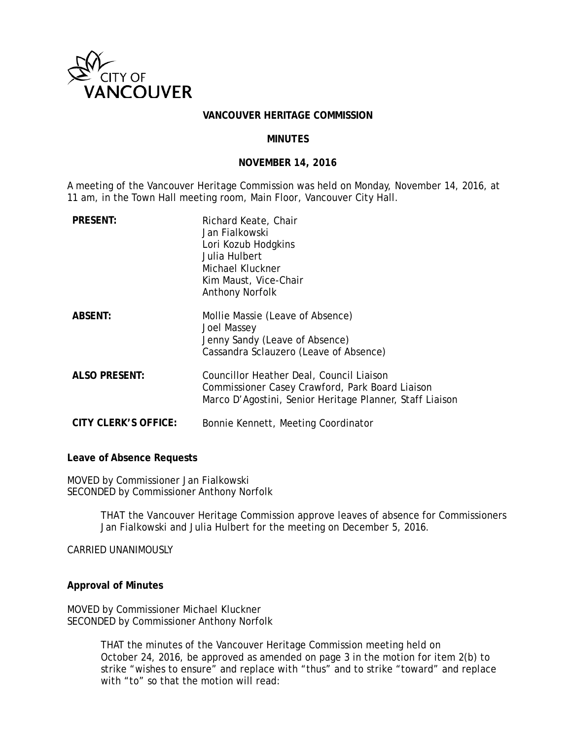

## **VANCOUVER HERITAGE COMMISSION**

# **MINUTES**

#### **NOVEMBER 14, 2016**

A meeting of the Vancouver Heritage Commission was held on Monday, November 14, 2016, at 11 am, in the Town Hall meeting room, Main Floor, Vancouver City Hall.

| <b>PRESENT:</b>      | Richard Keate, Chair<br>Jan Fialkowski<br>Lori Kozub Hodgkins<br>Julia Hulbert<br>Michael Kluckner<br>Kim Maust, Vice-Chair<br><b>Anthony Norfolk</b>   |
|----------------------|---------------------------------------------------------------------------------------------------------------------------------------------------------|
| <b>ABSENT:</b>       | Mollie Massie (Leave of Absence)<br>Joel Massey<br>Jenny Sandy (Leave of Absence)<br>Cassandra Sclauzero (Leave of Absence)                             |
| <b>ALSO PRESENT:</b> | Councillor Heather Deal, Council Liaison<br>Commissioner Casey Crawford, Park Board Liaison<br>Marco D'Agostini, Senior Heritage Planner, Staff Liaison |
| CITY CLERK'S OFFICE: | Bonnie Kennett, Meeting Coordinator                                                                                                                     |

**Leave of Absence Requests**

MOVED by Commissioner Jan Fialkowski SECONDED by Commissioner Anthony Norfolk

> THAT the Vancouver Heritage Commission approve leaves of absence for Commissioners Jan Fialkowski and Julia Hulbert for the meeting on December 5, 2016.

CARRIED UNANIMOUSLY

# **Approval of Minutes**

MOVED by Commissioner Michael Kluckner SECONDED by Commissioner Anthony Norfolk

> THAT the minutes of the Vancouver Heritage Commission meeting held on October 24, 2016, be approved as amended on page 3 in the motion for item 2(b) to strike "wishes to ensure" and replace with "thus" and to strike "toward" and replace with "to" so that the motion will read: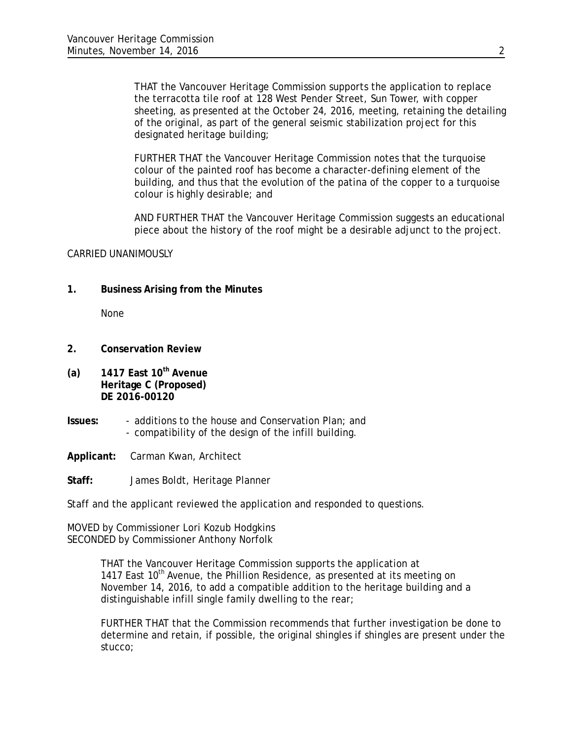THAT the Vancouver Heritage Commission supports the application to replace the terracotta tile roof at 128 West Pender Street, Sun Tower, with copper sheeting, as presented at the October 24, 2016, meeting, retaining the detailing of the original, as part of the general seismic stabilization project for this designated heritage building;

FURTHER THAT the Vancouver Heritage Commission notes that the turquoise colour of the painted roof has become a character-defining element of the building, and thus that the evolution of the patina of the copper to a turquoise colour is highly desirable; and

AND FURTHER THAT the Vancouver Heritage Commission suggests an educational piece about the history of the roof might be a desirable adjunct to the project.

## CARRIED UNANIMOUSLY

**1. Business Arising from the Minutes**

None

- **2. Conservation Review**
- **(a) 1417 East 10th Avenue Heritage C (Proposed) DE 2016-00120**
- **Issues:** additions to the house and Conservation Plan; and - compatibility of the design of the infill building.

**Applicant:** Carman Kwan, Architect

**Staff:** James Boldt, Heritage Planner

Staff and the applicant reviewed the application and responded to questions.

MOVED by Commissioner Lori Kozub Hodgkins SECONDED by Commissioner Anthony Norfolk

> THAT the Vancouver Heritage Commission supports the application at 1417 East 10<sup>th</sup> Avenue, the Phillion Residence, as presented at its meeting on November 14, 2016, to add a compatible addition to the heritage building and a distinguishable infill single family dwelling to the rear;

FURTHER THAT that the Commission recommends that further investigation be done to determine and retain, if possible, the original shingles if shingles are present under the stucco;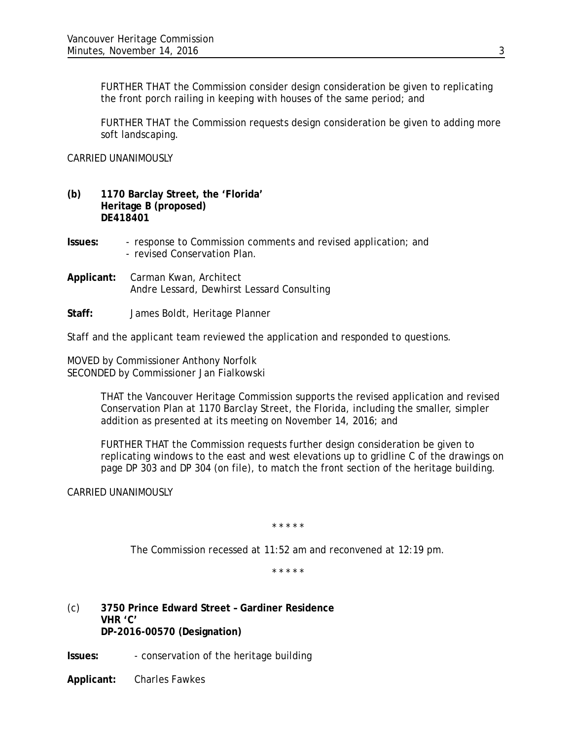FURTHER THAT the Commission consider design consideration be given to replicating the front porch railing in keeping with houses of the same period; and

FURTHER THAT the Commission requests design consideration be given to adding more soft landscaping.

CARRIED UNANIMOUSLY

- **(b) 1170 Barclay Street, the 'Florida' Heritage B (proposed) DE418401**
- **Issues:** response to Commission comments and revised application; and - revised Conservation Plan.
- **Applicant:** Carman Kwan, Architect Andre Lessard, Dewhirst Lessard Consulting
- **Staff:** James Boldt, Heritage Planner

Staff and the applicant team reviewed the application and responded to questions.

MOVED by Commissioner Anthony Norfolk SECONDED by Commissioner Jan Fialkowski

> THAT the Vancouver Heritage Commission supports the revised application and revised Conservation Plan at 1170 Barclay Street, the Florida, including the smaller, simpler addition as presented at its meeting on November 14, 2016; and

FURTHER THAT the Commission requests further design consideration be given to replicating windows to the east and west elevations up to gridline C of the drawings on page DP 303 and DP 304 (on file), to match the front section of the heritage building.

CARRIED UNANIMOUSLY

*\* \* \* \* \** 

*The Commission recessed at 11:52 am and reconvened at 12:19 pm.*

*\* \* \* \* \** 

(c) **3750 Prince Edward Street – Gardiner Residence VHR 'C' DP-2016-00570 (Designation)**

**Issues:** - conservation of the heritage building

**Applicant:** Charles Fawkes